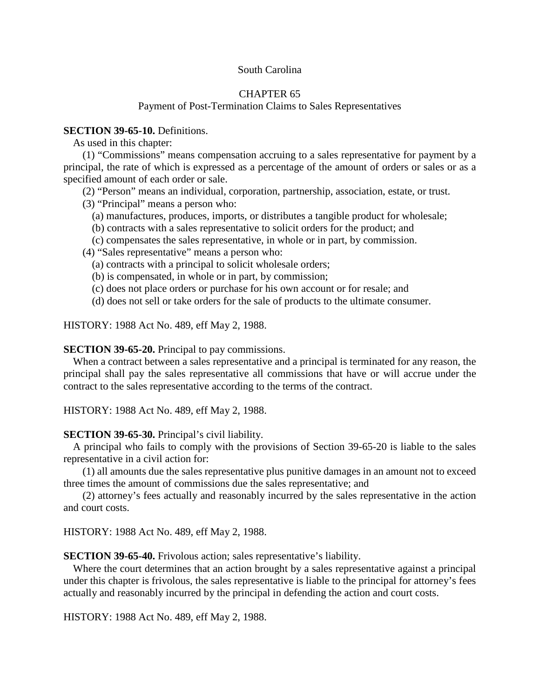## South Carolina

# CHAPTER 65

## Payment of Post-Termination Claims to Sales Representatives

#### **SECTION 39-65-10.** Definitions.

As used in this chapter:

(1) "Commissions" means compensation accruing to a sales representative for payment by a principal, the rate of which is expressed as a percentage of the amount of orders or sales or as a specified amount of each order or sale.

(2) "Person" means an individual, corporation, partnership, association, estate, or trust.

- (3) "Principal" means a person who:
	- (a) manufactures, produces, imports, or distributes a tangible product for wholesale;
	- (b) contracts with a sales representative to solicit orders for the product; and
	- (c) compensates the sales representative, in whole or in part, by commission.

(4) "Sales representative" means a person who:

- (a) contracts with a principal to solicit wholesale orders;
- (b) is compensated, in whole or in part, by commission;
- (c) does not place orders or purchase for his own account or for resale; and
- (d) does not sell or take orders for the sale of products to the ultimate consumer.

HISTORY: 1988 Act No. 489, eff May 2, 1988.

#### **SECTION 39-65-20.** Principal to pay commissions.

When a contract between a sales representative and a principal is terminated for any reason, the principal shall pay the sales representative all commissions that have or will accrue under the contract to the sales representative according to the terms of the contract.

HISTORY: 1988 Act No. 489, eff May 2, 1988.

#### **SECTION 39-65-30.** Principal's civil liability.

A principal who fails to comply with the provisions of Section 39-65-20 is liable to the sales representative in a civil action for:

(1) all amounts due the sales representative plus punitive damages in an amount not to exceed three times the amount of commissions due the sales representative; and

(2) attorney's fees actually and reasonably incurred by the sales representative in the action and court costs.

HISTORY: 1988 Act No. 489, eff May 2, 1988.

**SECTION 39-65-40.** Frivolous action; sales representative's liability.

Where the court determines that an action brought by a sales representative against a principal under this chapter is frivolous, the sales representative is liable to the principal for attorney's fees actually and reasonably incurred by the principal in defending the action and court costs.

HISTORY: 1988 Act No. 489, eff May 2, 1988.